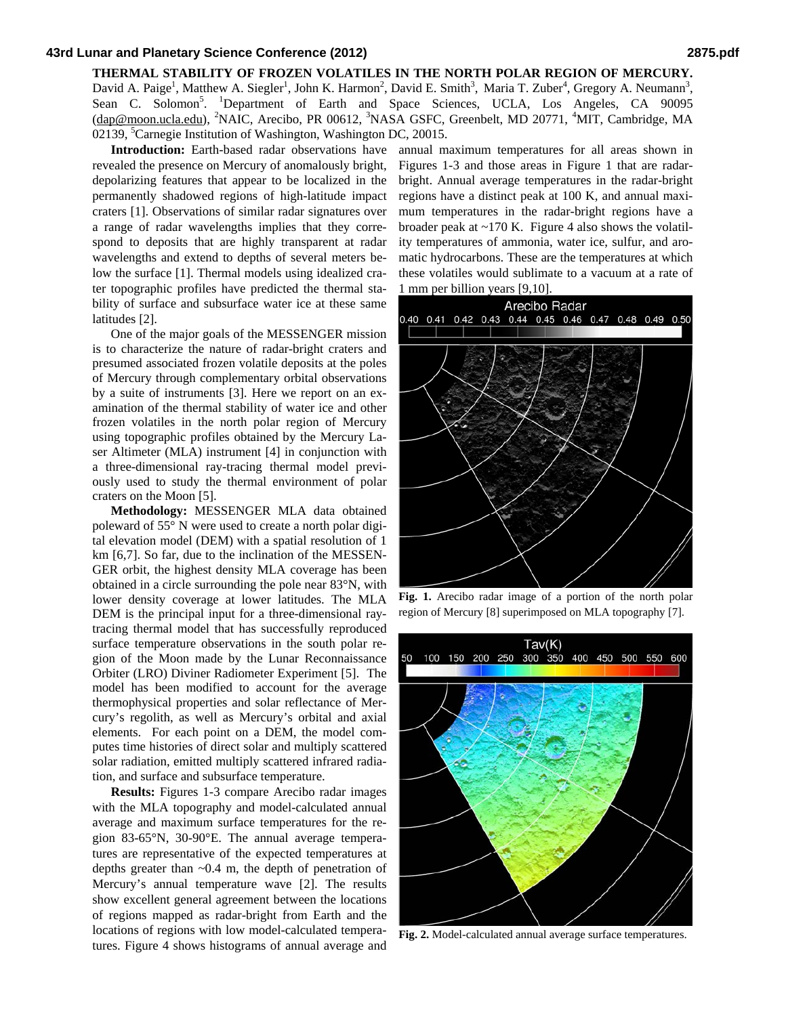## **43rd Lunar and Planetary Science Conference (2012) 2875.pdf**

David A. Paige<sup>1</sup>, Matthew A. Siegler<sup>1</sup>, John K. Harmon<sup>2</sup>, David E. Smith<sup>3</sup>, Maria T. Zuber<sup>4</sup>, Gregory A. Neumann<sup>3</sup>, Sean C. Solomon<sup>5</sup>. <sup>1</sup>Department of Earth and Space Sciences, UCLA, Los Angeles, CA 90095 (dap@moon.ucla.edu), <sup>2</sup>NAIC, Arecibo, PR 00612, <sup>3</sup>NASA GSFC, Greenbelt, MD 20771, <sup>4</sup>MIT, Cambridge, MA 02139, <sup>5</sup>Carnegie Institution of Washington, Washington DC, 20015.

**Introduction:** Earth-based radar observations have revealed the presence on Mercury of anomalously bright, depolarizing features that appear to be localized in the permanently shadowed regions of high-latitude impact craters [1]. Observations of similar radar signatures over a range of radar wavelengths implies that they correspond to deposits that are highly transparent at radar wavelengths and extend to depths of several meters below the surface [1]. Thermal models using idealized crater topographic profiles have predicted the thermal stability of surface and subsurface water ice at these same latitudes [2].

One of the major goals of the MESSENGER mission is to characterize the nature of radar-bright craters and presumed associated frozen volatile deposits at the poles of Mercury through complementary orbital observations by a suite of instruments [3]. Here we report on an examination of the thermal stability of water ice and other frozen volatiles in the north polar region of Mercury using topographic profiles obtained by the Mercury Laser Altimeter (MLA) instrument [4] in conjunction with a three-dimensional ray-tracing thermal model previously used to study the thermal environment of polar craters on the Moon [5].

**Methodology:** MESSENGER MLA data obtained poleward of 55° N were used to create a north polar digital elevation model (DEM) with a spatial resolution of 1 km [6,7]. So far, due to the inclination of the MESSEN-GER orbit, the highest density MLA coverage has been obtained in a circle surrounding the pole near 83°N, with lower density coverage at lower latitudes. The MLA DEM is the principal input for a three-dimensional raytracing thermal model that has successfully reproduced surface temperature observations in the south polar region of the Moon made by the Lunar Reconnaissance Orbiter (LRO) Diviner Radiometer Experiment [5]. The model has been modified to account for the average thermophysical properties and solar reflectance of Mercury's regolith, as well as Mercury's orbital and axial elements. For each point on a DEM, the model computes time histories of direct solar and multiply scattered solar radiation, emitted multiply scattered infrared radiation, and surface and subsurface temperature.

**Results:** Figures 1-3 compare Arecibo radar images with the MLA topography and model-calculated annual average and maximum surface temperatures for the region 83-65°N, 30-90°E. The annual average temperatures are representative of the expected temperatures at depths greater than ~0.4 m, the depth of penetration of Mercury's annual temperature wave [2]. The results show excellent general agreement between the locations of regions mapped as radar-bright from Earth and the locations of regions with low model-calculated temperatures. Figure 4 shows histograms of annual average and

annual maximum temperatures for all areas shown in Figures 1-3 and those areas in Figure 1 that are radarbright. Annual average temperatures in the radar-bright regions have a distinct peak at 100 K, and annual maximum temperatures in the radar-bright regions have a broader peak at  $\sim$ 170 K. Figure 4 also shows the volatility temperatures of ammonia, water ice, sulfur, and aromatic hydrocarbons. These are the temperatures at which these volatiles would sublimate to a vacuum at a rate of 1 mm per billion years [9,10].



**Fig. 1.** Arecibo radar image of a portion of the north polar region of Mercury [8] superimposed on MLA topography [7].



**Fig. 2.** Model-calculated annual average surface temperatures.